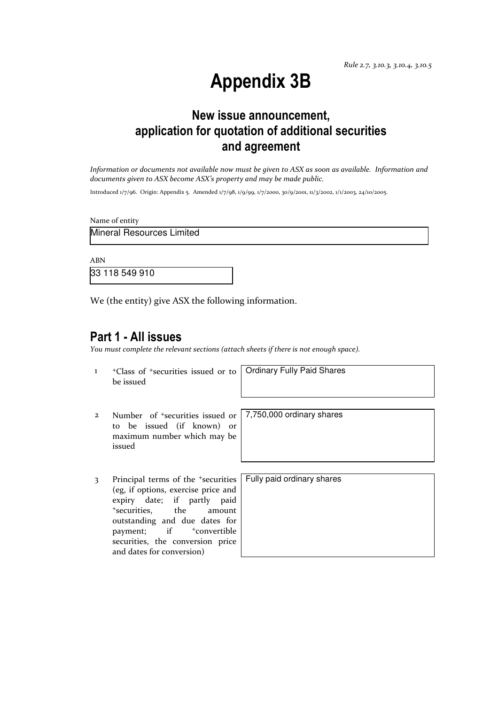Rule 2.7, 3.10.3, 3.10.4, 3.10.5

# Appendix 3B

### New issue announcement, application for quotation of additional securities and agreement

Information or documents not available now must be given to ASX as soon as available. Information and documents given to ASX become ASX's property and may be made public.

Introduced 1/7/96. Origin: Appendix 5. Amended 1/7/98, 1/9/99, 1/7/2000, 30/9/2001, 11/3/2002, 1/1/2003, 24/10/2005.

Name of entity

Mineral Resources Limited

ABN

33 118 549 910

We (the entity) give ASX the following information.

### Part 1 - All issues

You must complete the relevant sections (attach sheets if there is not enough space).

1 +Class of +securities issued or to be issued

Ordinary Fully Paid Shares

7,750,000 ordinary shares

- 2 Number of +securities issued or to be issued (if known) or maximum number which may be issued
- 3 Principal terms of the <sup>+</sup>securities (eg, if options, exercise price and expiry date; if partly paid <sup>+</sup>securities, the amount outstanding and due dates for payment; if  $+$ convertible securities, the conversion price and dates for conversion)

| Fully paid ordinary shares |  |
|----------------------------|--|
|                            |  |
|                            |  |
|                            |  |
|                            |  |
|                            |  |
|                            |  |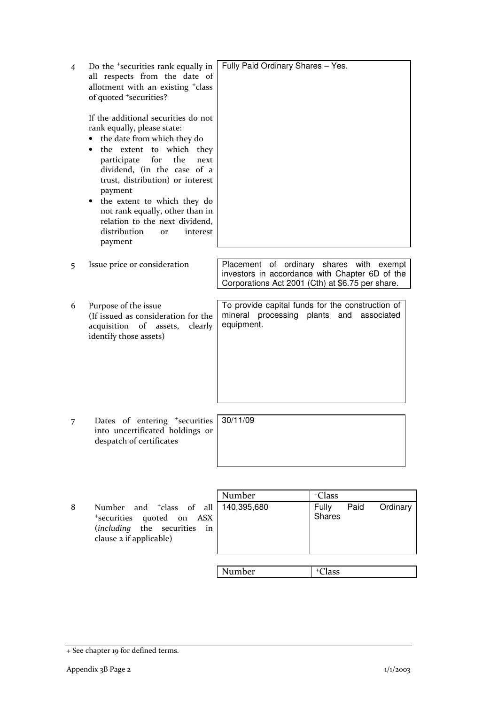| 4 | Do the <sup>+</sup> securities rank equally in<br>all respects from the date of<br>allotment with an existing <sup>+</sup> class<br>of quoted <sup>+</sup> securities?                                                                                                                                                                                                                                   | Fully Paid Ordinary Shares - Yes.                                                                             |                                                                                                                                                |
|---|----------------------------------------------------------------------------------------------------------------------------------------------------------------------------------------------------------------------------------------------------------------------------------------------------------------------------------------------------------------------------------------------------------|---------------------------------------------------------------------------------------------------------------|------------------------------------------------------------------------------------------------------------------------------------------------|
|   | If the additional securities do not<br>rank equally, please state:<br>the date from which they do<br>the extent to which they<br>for<br>the<br>participate<br>next<br>dividend, (in the case of a<br>trust, distribution) or interest<br>payment<br>the extent to which they do<br>not rank equally, other than in<br>relation to the next dividend,<br>distribution<br>interest<br><b>or</b><br>payment |                                                                                                               |                                                                                                                                                |
| 5 | Issue price or consideration                                                                                                                                                                                                                                                                                                                                                                             |                                                                                                               | Placement of ordinary shares with exempt<br>investors in accordance with Chapter 6D of the<br>Corporations Act 2001 (Cth) at \$6.75 per share. |
| 6 | Purpose of the issue<br>(If issued as consideration for the<br>acquisition of assets,<br>clearly<br>identify those assets)                                                                                                                                                                                                                                                                               | To provide capital funds for the construction of<br>mineral processing plants and<br>associated<br>equipment. |                                                                                                                                                |
|   |                                                                                                                                                                                                                                                                                                                                                                                                          |                                                                                                               |                                                                                                                                                |
| 7 | Dates of entering <sup>+</sup> securities<br>into uncertificated holdings or<br>despatch of certificates                                                                                                                                                                                                                                                                                                 | 30/11/09                                                                                                      |                                                                                                                                                |
|   |                                                                                                                                                                                                                                                                                                                                                                                                          |                                                                                                               |                                                                                                                                                |
|   |                                                                                                                                                                                                                                                                                                                                                                                                          | Number                                                                                                        | <sup>+</sup> Class                                                                                                                             |
| 8 | and <sup>+</sup> class of<br>Number<br>all<br><sup>+</sup> securities<br>quoted<br><b>ASX</b><br>on<br>including)<br>the<br>securities<br>in<br>clause 2 if applicable)                                                                                                                                                                                                                                  | 140,395,680                                                                                                   | Paid<br>Ordinary<br>Fully<br><b>Shares</b>                                                                                                     |

Number + Class

<sup>+</sup> See chapter 19 for defined terms.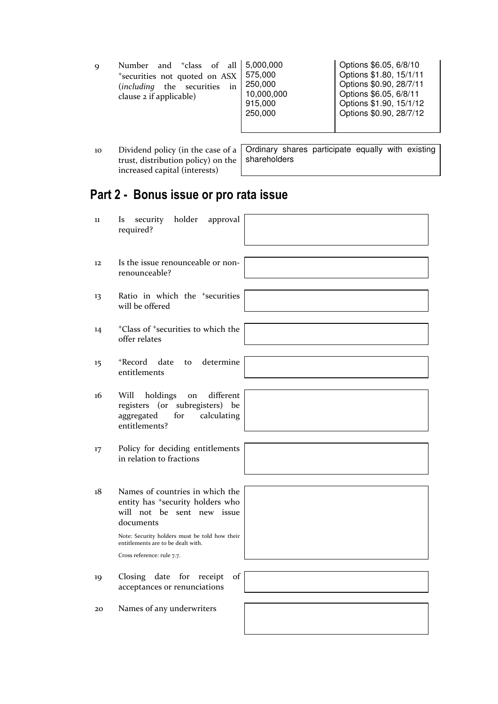| Number and <sup>+</sup> class of all 5,000,000<br>$\mathbf Q$<br>*securities not quoted on ASX<br>(including the securities<br>in<br>clause 2 if applicable) | 575,000<br>250,000<br>10,000,000<br>915,000<br>250,000 | Options \$6.05, 6/8/10<br>Options \$1.80, 15/1/11<br>Options \$0.90, 28/7/11<br>Options \$6.05, 6/8/11<br>Options \$1.90, 15/1/12<br>Options \$0.90, 28/7/12 |
|--------------------------------------------------------------------------------------------------------------------------------------------------------------|--------------------------------------------------------|--------------------------------------------------------------------------------------------------------------------------------------------------------------|
|--------------------------------------------------------------------------------------------------------------------------------------------------------------|--------------------------------------------------------|--------------------------------------------------------------------------------------------------------------------------------------------------------------|

10 Dividend policy (in the case of a trust, distribution policy) on the increased capital (interests) Ordinary shares participate equally with existing shareholders

# Part 2 - Bonus issue or pro rata issue

| 11 | security<br>holder<br>approval<br><b>Is</b><br>required?                                                                                                                                                                                        |
|----|-------------------------------------------------------------------------------------------------------------------------------------------------------------------------------------------------------------------------------------------------|
| 12 | Is the issue renounceable or non-<br>renounceable?                                                                                                                                                                                              |
| 13 | Ratio in which the <sup>+</sup> securities<br>will be offered                                                                                                                                                                                   |
| 14 | <sup>+</sup> Class of <sup>+</sup> securities to which the<br>offer relates                                                                                                                                                                     |
| 15 | +Record date<br>determine<br>to<br>entitlements                                                                                                                                                                                                 |
| 16 | different<br>Will<br>holdings<br>on<br>registers (or subregisters) be<br>aggregated<br>for<br>calculating<br>entitlements?                                                                                                                      |
| 17 | Policy for deciding entitlements<br>in relation to fractions                                                                                                                                                                                    |
| 18 | Names of countries in which the<br>entity has <sup>+</sup> security holders who<br>will not be sent new issue<br>documents<br>Note: Security holders must be told how their<br>entitlements are to be dealt with.<br>Cross reference: rule 7.7. |
| 19 | Closing date for receipt<br>of<br>acceptances or renunciations                                                                                                                                                                                  |
| 20 | Names of any underwriters                                                                                                                                                                                                                       |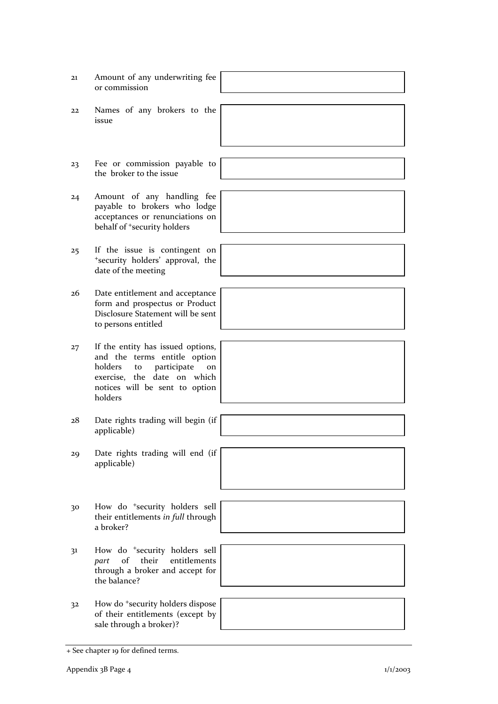| 21 | Amount of any underwriting fee<br>or commission                                                                                                                                     |  |
|----|-------------------------------------------------------------------------------------------------------------------------------------------------------------------------------------|--|
| 22 | Names of any brokers to the<br>issue                                                                                                                                                |  |
|    |                                                                                                                                                                                     |  |
| 23 | Fee or commission payable to<br>the broker to the issue                                                                                                                             |  |
| 24 | Amount of any handling fee<br>payable to brokers who lodge<br>acceptances or renunciations on<br>behalf of <sup>+</sup> security holders                                            |  |
| 25 | If the issue is contingent on<br>*security holders' approval, the<br>date of the meeting                                                                                            |  |
| 26 | Date entitlement and acceptance<br>form and prospectus or Product<br>Disclosure Statement will be sent<br>to persons entitled                                                       |  |
| 27 | If the entity has issued options,<br>and the terms entitle option<br>participate<br>holders<br>to<br>on<br>exercise, the date on which<br>notices will be sent to option<br>holders |  |
| 28 | Date rights trading will begin (if<br>applicable)                                                                                                                                   |  |
| 29 | Date rights trading will end (if<br>applicable)                                                                                                                                     |  |
|    |                                                                                                                                                                                     |  |
| 30 | How do <sup>+</sup> security holders sell<br>their entitlements in full through<br>a broker?                                                                                        |  |
|    |                                                                                                                                                                                     |  |
| 31 | How do <sup>+</sup> security holders sell<br>of<br>their<br>entitlements<br>part<br>through a broker and accept for<br>the balance?                                                 |  |
|    |                                                                                                                                                                                     |  |
| 32 | How do <sup>+</sup> security holders dispose<br>of their entitlements (except by<br>sale through a broker)?                                                                         |  |
|    |                                                                                                                                                                                     |  |

<sup>+</sup> See chapter 19 for defined terms.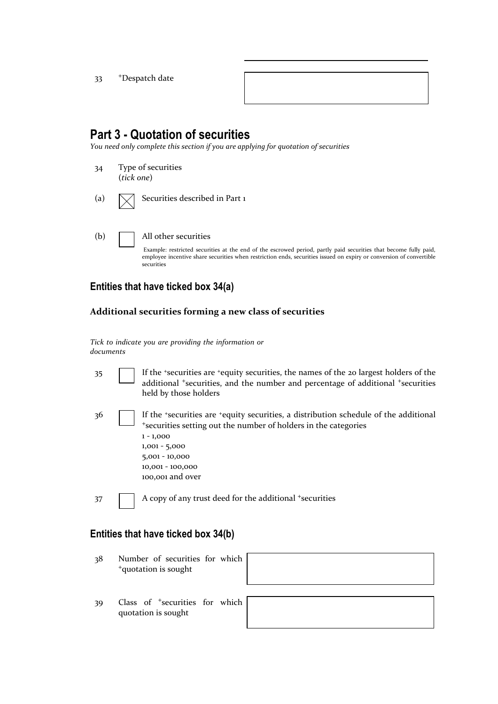33 <sup>+</sup>Despatch date

## Part 3 - Quotation of securities

You need only complete this section if you are applying for quotation of securities

34 Type of securities (tick one) (a)  $\bigwedge$  Securities described in Part 1 (b) All other securities

> Example: restricted securities at the end of the escrowed period, partly paid securities that become fully paid, employee incentive share securities when restriction ends, securities issued on expiry or conversion of convertible securities

### Entities that have ticked box 34(a)

#### Additional securities forming a new class of securities

Tick to indicate you are providing the information or documents

35 If the <sup>+</sup>securities are <sup>+</sup>equity securities, the names of the 20 largest holders of the additional <sup>+</sup>securities, and the number and percentage of additional <sup>+</sup>securities held by those holders

36 If the \*securities are \*equity securities, a distribution schedule of the additional <sup>+</sup>securities setting out the number of holders in the categories 1 - 1,000 1,001 - 5,000 5,001 - 10,000 10,001 - 100,000 100,001 and over

37 A copy of any trust deed for the additional +securities

#### Entities that have ticked box 34(b)

- 38 Number of securities for which <sup>+</sup>quotation is sought
- 39 Class of <sup>+</sup>securities for which quotation is sought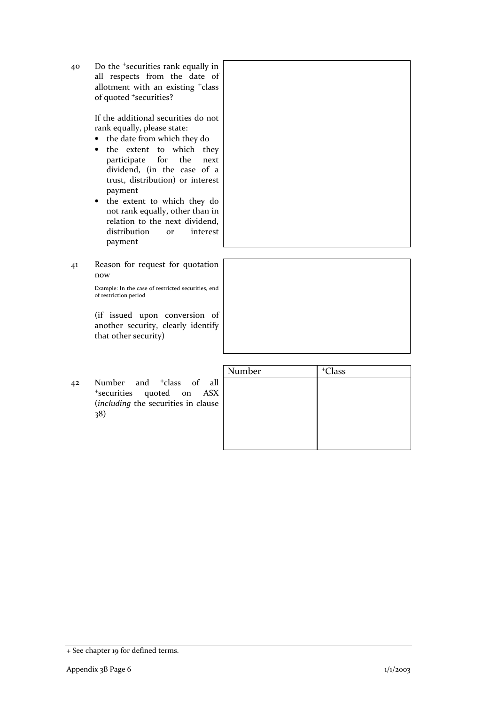40 Do the <sup>+</sup>securities rank equally in all respects from the date of allotment with an existing <sup>+</sup>class of quoted <sup>+</sup>securities?

> If the additional securities do not rank equally, please state:

- the date from which they do
- the extent to which they participate for the next dividend, (in the case of a trust, distribution) or interest payment
- the extent to which they do not rank equally, other than in relation to the next dividend, distribution or interest payment
- 41 Reason for request for quotation now

Example: In the case of restricted securities, end of restriction period

(if issued upon conversion of another security, clearly identify that other security)

|    |                                                                                                                             | Number | <sup>+</sup> Class |
|----|-----------------------------------------------------------------------------------------------------------------------------|--------|--------------------|
| 42 | Number and <sup>+</sup> class of all<br><sup>+</sup> securities quoted on ASX<br>(including the securities in clause<br>38) |        |                    |

<sup>+</sup> See chapter 19 for defined terms.